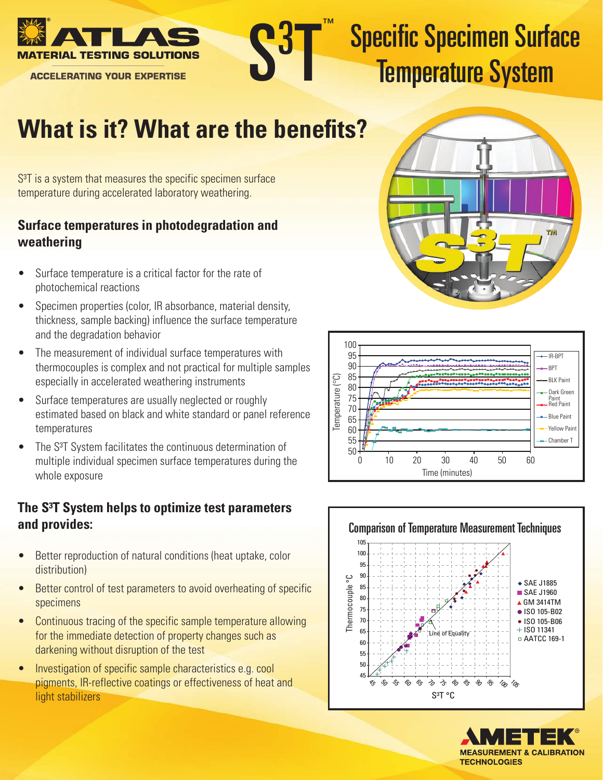

**ACCELERATING YOUR EXPERTISE** 



# Specific Specimen Surface Temperature System

## **What is it? What are the benefits?**

 $S<sup>3</sup>T$  is a system that measures the specific specimen surface temperature during accelerated laboratory weathering.

#### **Surface temperatures in photodegradation and weathering**

- Surface temperature is a critical factor for the rate of photochemical reactions
- Specimen properties (color, IR absorbance, material density, thickness, sample backing) influence the surface temperature and the degradation behavior
- The measurement of individual surface temperatures with thermocouples is complex and not practical for multiple samples especially in accelerated weathering instruments
- Surface temperatures are usually neglected or roughly estimated based on black and white standard or panel reference temperatures
- The S<sup>3</sup>T System facilitates the continuous determination of multiple individual specimen surface temperatures during the whole exposure

### **The S³T System helps to optimize test parameters and provides:**

- Better reproduction of natural conditions (heat uptake, color distribution)
- Better control of test parameters to avoid overheating of specific specimens
- Continuous tracing of the specific sample temperature allowing for the immediate detection of property changes such as darkening without disruption of the test
- Investigation of specific sample characteristics e.g. cool pigments, IR-reflective coatings or effectiveness of heat and light stabilizers